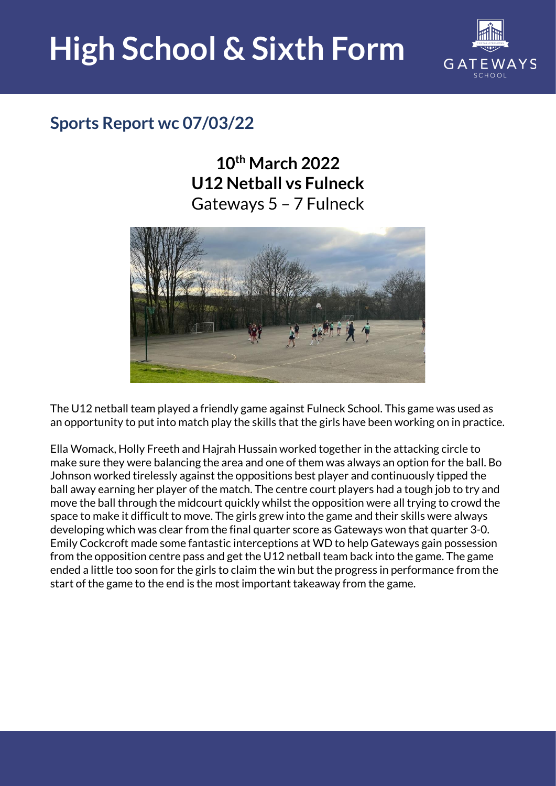## **High School & Sixth Form**



## **Sports Report wc 07/03/22**

**10th March 2022 U12 Netball vs Fulneck** Gateways 5 – 7 Fulneck



The U12 netball team played a friendly game against Fulneck School. This game was used as an opportunity to put into match play the skills that the girls have been working on in practice.

Ella Womack, Holly Freeth and Hajrah Hussain worked together in the attacking circle to make sure they were balancing the area and one of them was always an option for the ball. Bo Johnson worked tirelessly against the oppositions best player and continuously tipped the ball away earning her player of the match. The centre court players had a tough job to try and move the ball through the midcourt quickly whilst the opposition were all trying to crowd the space to make it difficult to move. The girls grew into the game and their skills were always developing which was clear from the final quarter score as Gateways won that quarter 3-0. Emily Cockcroft made some fantastic interceptions at WD to help Gateways gain possession from the opposition centre pass and get the U12 netball team back into the game. The game ended a little too soon for the girls to claim the win but the progress in performance from the start of the game to the end is the most important takeaway from the game.